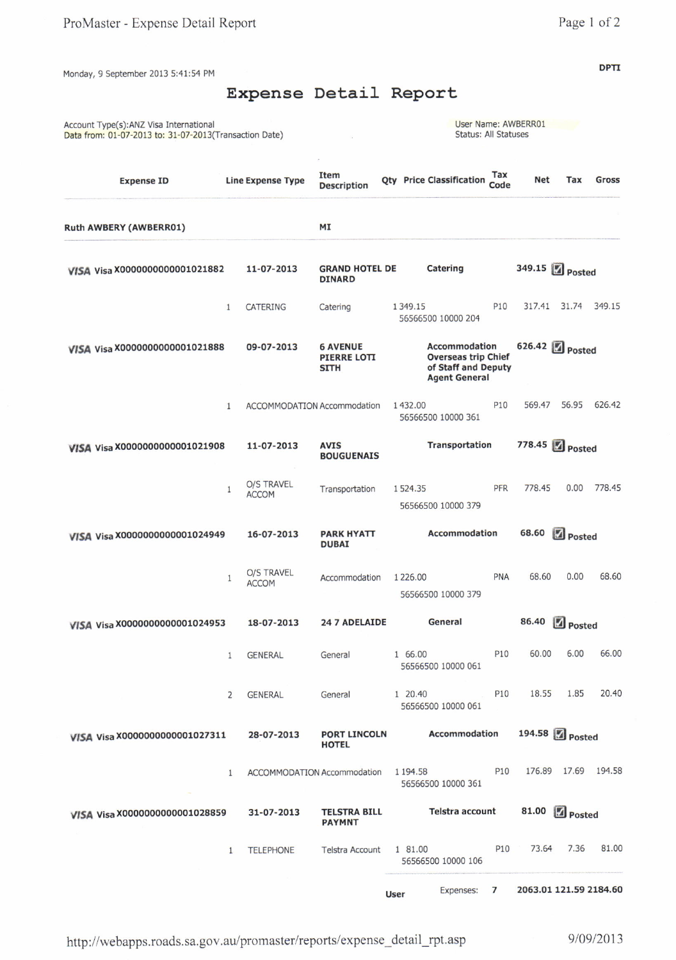**DPTI** 

Monday, 9 September 2013 5:41:54 PM

## Expense Detail Report

| Account Type(s): ANZ Visa International<br>Data from: 01-07-2013 to: 31-07-2013(Transaction Date) |                |                            |                                               | Status: All Statuses                                                                       |                 | User Name: AWBERR01 |                     |        |
|---------------------------------------------------------------------------------------------------|----------------|----------------------------|-----------------------------------------------|--------------------------------------------------------------------------------------------|-----------------|---------------------|---------------------|--------|
| <b>Expense ID</b>                                                                                 |                | <b>Line Expense Type</b>   | Item<br><b>Description</b>                    | <b>Qty</b> Price Classification                                                            | Tax<br>Code     | <b>Net</b>          | Tax                 | Gross  |
| Ruth AWBERY (AWBERR01)                                                                            |                |                            | MI                                            |                                                                                            |                 |                     |                     |        |
| VISA Visa X0000000000001021882                                                                    |                | 11-07-2013                 | <b>GRAND HOTEL DE</b><br><b>DINARD</b>        | Catering                                                                                   |                 | 349.15 Posted       |                     |        |
|                                                                                                   | $\mathbf{1}$   | CATERING                   | Catering                                      | 1 3 4 9 . 1 5<br>56566500 10000 204                                                        | P10             | 317.41              | 31.74               | 349.15 |
| VISA Visa X0000000000001021888                                                                    |                | 09-07-2013                 | <b>6 AVENUE</b><br>PIERRE LOTI<br><b>SITH</b> | Accommodation<br><b>Overseas trip Chief</b><br>of Staff and Deputy<br><b>Agent General</b> |                 | 626.42 Posted       |                     |        |
|                                                                                                   | $\mathbf{1}$   |                            | ACCOMMODATION Accommodation                   | 1432.00<br>56566500 10000 361                                                              | P <sub>10</sub> | 569.47              | 56.95               | 626.42 |
| VISA Visa X0000000000001021908                                                                    |                | 11-07-2013                 | <b>AVIS</b><br><b>BOUGUENAIS</b>              | Transportation                                                                             |                 | 778.45              | <b>Z</b> Posted     |        |
|                                                                                                   | $\mathbf{1}$   | O/S TRAVEL<br><b>ACCOM</b> | Transportation                                | 1524.35<br>56566500 10000 379                                                              | <b>PFR</b>      | 778.45              | 0.00                | 778.45 |
| VISA Visa X0000000000001024949                                                                    |                | 16-07-2013                 | <b>PARK HYATT</b><br><b>DUBAI</b>             | Accommodation                                                                              |                 | 68.60               | Posted              |        |
|                                                                                                   | 1              | O/S TRAVEL<br><b>ACCOM</b> | Accommodation                                 | 1 2 2 6 . 0 0<br>56566500 10000 379                                                        | <b>PNA</b>      | 68.60               | 0.00                | 68.60  |
| VISA Visa X0000000000001024953                                                                    |                | 18-07-2013                 | 24 7 ADELAIDE                                 | General                                                                                    |                 |                     | Posted              |        |
|                                                                                                   | $\mathbf{1}$   | <b>GENERAL</b>             | General                                       | 1 66.00<br>56566500 10000 061                                                              | P <sub>10</sub> | 60.00               | 6.00                | 66.00  |
|                                                                                                   | $\overline{2}$ | <b>GENERAL</b>             | General                                       | 1 20.40<br>56566500 10000 061                                                              | P <sub>10</sub> | 18.55               | 1.85                | 20.40  |
| VISA Visa X0000000000001027311                                                                    |                | 28-07-2013                 | <b>PORT LINCOLN</b><br><b>HOTEL</b>           | Accommodation                                                                              |                 |                     | 194.58 2 Posted     |        |
|                                                                                                   | $\mathbf{1}$   |                            | ACCOMMODATION Accommodation                   | 1 1 9 4 .5 8<br>56566500 10000 361                                                         | P <sub>10</sub> |                     | 176.89 17.69 194.58 |        |
| VISA Visa X0000000000001028859                                                                    |                | 31-07-2013                 | <b>TELSTRA BILL</b><br><b>PAYMNT</b>          | Telstra account                                                                            |                 | 81.00               | <b>Z</b> Posted     |        |
|                                                                                                   | $\mathbf{1}$   | <b>TELEPHONE</b>           | <b>Telstra Account</b>                        | 1 81.00<br>56566500 10000 106                                                              | P <sub>10</sub> | 73.64               | 7.36                | 81.00  |
|                                                                                                   |                |                            |                                               |                                                                                            |                 |                     |                     |        |

Expenses: 7 2063.01 121.59 2184.60 User